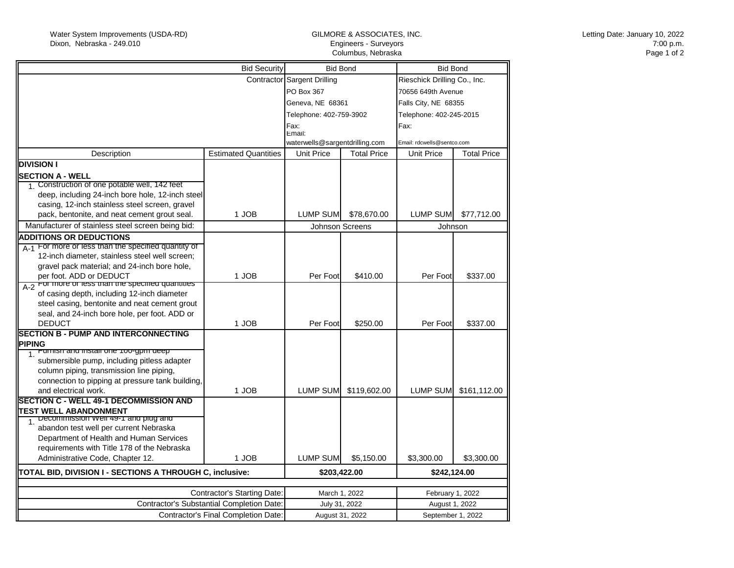## GILMORE & ASSOCIATES, INC. Engineers - Surveyors Columbus, Nebraska

| <b>Bid Security</b>                                                          |                             | <b>Bid Bond</b>                |                       | <b>Bid Bond</b>              |                       |
|------------------------------------------------------------------------------|-----------------------------|--------------------------------|-----------------------|------------------------------|-----------------------|
|                                                                              |                             | Contractor Sargent Drilling    |                       | Rieschick Drilling Co., Inc. |                       |
|                                                                              |                             | PO Box 367                     |                       | 70656 649th Avenue           |                       |
|                                                                              |                             | Geneva, NE 68361               |                       | Falls City, NE 68355         |                       |
|                                                                              |                             | Telephone: 402-759-3902        |                       | Telephone: 402-245-2015      |                       |
|                                                                              |                             | Fax:                           |                       | Fax:                         |                       |
|                                                                              |                             | Email:                         |                       |                              |                       |
|                                                                              |                             | waterwells@sargentdrilling.com |                       | Email: rdcwells@sentco.com   |                       |
| Description                                                                  | <b>Estimated Quantities</b> | <b>Unit Price</b>              | <b>Total Price</b>    | Unit Price                   | <b>Total Price</b>    |
| <b>DIVISION I</b>                                                            |                             |                                |                       |                              |                       |
| <b>SECTION A - WELL</b>                                                      |                             |                                |                       |                              |                       |
| 1. Construction of one potable well, 142 feet                                |                             |                                |                       |                              |                       |
| deep, including 24-inch bore hole, 12-inch steel                             |                             |                                |                       |                              |                       |
| casing, 12-inch stainless steel screen, gravel                               |                             |                                |                       |                              |                       |
| pack, bentonite, and neat cement grout seal.                                 | 1 JOB                       | LUMP SUM                       | \$78,670.00           | LUMP SUM                     | \$77,712.00           |
| Manufacturer of stainless steel screen being bid:                            |                             | Johnson Screens                |                       | Johnson                      |                       |
| <b>ADDITIONS OR DEDUCTIONS</b>                                               |                             |                                |                       |                              |                       |
| A-1 For more or less than the specified quantity of                          |                             |                                |                       |                              |                       |
| 12-inch diameter, stainless steel well screen;                               |                             |                                |                       |                              |                       |
| gravel pack material; and 24-inch bore hole,                                 |                             |                                |                       |                              |                       |
| per foot. ADD or DEDUCT                                                      | 1 JOB                       | Per Foot                       | \$410.00              | Per Foot                     | \$337.00              |
| A-2 For more or less than the specified quantities                           |                             |                                |                       |                              |                       |
| of casing depth, including 12-inch diameter                                  |                             |                                |                       |                              |                       |
| steel casing, bentonite and neat cement grout                                |                             |                                |                       |                              |                       |
| seal, and 24-inch bore hole, per foot. ADD or                                |                             |                                |                       |                              |                       |
| <b>DEDUCT</b><br><b>SECTION B - PUMP AND INTERCONNECTING</b>                 | 1 JOB                       | Per Foot                       | \$250.00              | Per Foot                     | \$337.00              |
|                                                                              |                             |                                |                       |                              |                       |
| <b>PIPING</b><br><b>Furnish and install one Too-gpm deep</b><br>$\mathbf{1}$ |                             |                                |                       |                              |                       |
| submersible pump, including pitless adapter                                  |                             |                                |                       |                              |                       |
| column piping, transmission line piping,                                     |                             |                                |                       |                              |                       |
| connection to pipping at pressure tank building,                             |                             |                                |                       |                              |                       |
| and electrical work.                                                         | 1 JOB                       |                                | LUMP SUM \$119,602.00 |                              | LUMP SUM \$161,112.00 |
| <b>SECTION C - WELL 49-1 DECOMMISSION AND</b>                                |                             |                                |                       |                              |                       |
| <b>TEST WELL ABANDONMENT</b>                                                 |                             |                                |                       |                              |                       |
| Decommission well 49-1 and plug and                                          |                             |                                |                       |                              |                       |
| abandon test well per current Nebraska                                       |                             |                                |                       |                              |                       |
| Department of Health and Human Services                                      |                             |                                |                       |                              |                       |
| requirements with Title 178 of the Nebraska                                  |                             |                                |                       |                              |                       |
| Administrative Code, Chapter 12.                                             | 1 JOB                       | <b>LUMP SUM</b>                | \$5,150.00            | \$3,300.00                   | \$3,300.00            |
| TOTAL BID, DIVISION I - SECTIONS A THROUGH C, inclusive:                     |                             | \$203,422.00                   |                       | \$242,124.00                 |                       |
|                                                                              |                             |                                |                       |                              |                       |
| <b>Contractor's Starting Date:</b>                                           |                             | March 1, 2022                  |                       | February 1, 2022             |                       |
| Contractor's Substantial Completion Date:                                    |                             | July 31, 2022                  |                       | August 1, 2022               |                       |
| <b>Contractor's Final Completion Date:</b>                                   |                             | August 31, 2022                |                       | September 1, 2022            |                       |